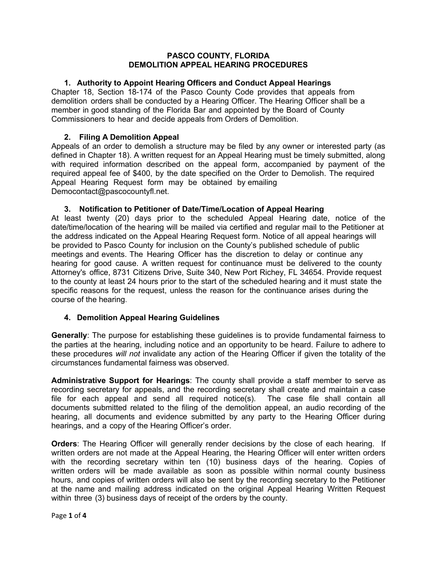#### **PASCO COUNTY, FLORIDA DEMOLITION APPEAL HEARING PROCEDURES**

# **1. Authority to Appoint Hearing Officers and Conduct Appeal Hearings**

Chapter 18, Section 18-174 of the Pasco County Code provides that appeals from demolition orders shall be conducted by a Hearing Officer. The Hearing Officer shall be a member in good standing of the Florida Bar and appointed by the Board of County Commissioners to hear and decide appeals from Orders of Demolition.

# **2. Filing A Demolition Appeal**

Appeals of an order to demolish a structure may be filed by any owner or interested party (as defined in Chapter 18). A written request for an Appeal Hearing must be timely submitted, along with required information described on the appeal form, accompanied by payment of the required appeal fee of \$400, by the date specified on the Order to Demolish. The required Appeal Hearing Request form may be obtained by emailing Democontact@pascocountyfl.net.

## **3. Notification to Petitioner of Date/Time/Location of Appeal Hearing**

At least twenty (20) days prior to the scheduled Appeal Hearing date, notice of the date/time/location of the hearing will be mailed via certified and regular mail to the Petitioner at the address indicated on the Appeal Hearing Request form. Notice of all appeal hearings will be provided to Pasco County for inclusion on the County's published schedule of public meetings and events. The Hearing Officer has the discretion to delay or continue any hearing for good cause. A written request for continuance must be delivered to the county Attorney's office, 8731 Citizens Drive, Suite 340, New Port Richey, FL 34654. Provide request to the county at least 24 hours prior to the start of the scheduled hearing and it must state the specific reasons for the request, unless the reason for the continuance arises during the course of the hearing.

## **4. Demolition Appeal Hearing Guidelines**

**Generally**: The purpose for establishing these guidelines is to provide fundamental fairness to the parties at the hearing, including notice and an opportunity to be heard. Failure to adhere to these procedures *will not* invalidate any action of the Hearing Officer if given the totality of the circumstances fundamental fairness was observed.

**Administrative Support for Hearings**: The county shall provide a staff member to serve as recording secretary for appeals, and the recording secretary shall create and maintain a case file for each appeal and send all required notice(s). The case file shall contain all documents submitted related to the filing of the demolition appeal, an audio recording of the hearing, all documents and evidence submitted by any party to the Hearing Officer during hearings, and a copy of the Hearing Officer's order.

**Orders**: The Hearing Officer will generally render decisions by the close of each hearing. If written orders are not made at the Appeal Hearing, the Hearing Officer will enter written orders with the recording secretary within ten (10) business days of the hearing. Copies of written orders will be made available as soon as possible within normal county business hours, and copies of written orders will also be sent by the recording secretary to the Petitioner at the name and mailing address indicated on the original Appeal Hearing Written Request within three (3) business days of receipt of the orders by the county.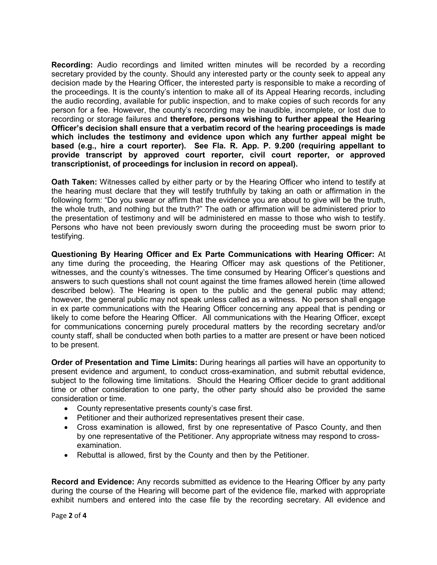**Recording:** Audio recordings and limited written minutes will be recorded by a recording secretary provided by the county. Should any interested party or the county seek to appeal any decision made by the Hearing Officer, the interested party is responsible to make a recording of the proceedings. It is the county's intention to make all of its Appeal Hearing records, including the audio recording, available for public inspection, and to make copies of such records for any person for a fee. However, the county's recording may be inaudible, incomplete, or lost due to recording or storage failures and **therefore, persons wishing to further appeal the Hearing Officer's decision shall ensure that a verbatim record of the** h**earing proceedings is made which includes the testimony and evidence upon which any further appeal might be based (e.g., hire a court reporter). See Fla. R. App. P. 9.200 (requiring appellant to provide transcript by approved court reporter, civil court reporter, or approved transcriptionist, of proceedings for inclusion in record on appeal).** 

**Oath Taken:** Witnesses called by either party or by the Hearing Officer who intend to testify at the hearing must declare that they will testify truthfully by taking an oath or affirmation in the following form: "Do you swear or affirm that the evidence you are about to give will be the truth, the whole truth, and nothing but the truth?" The oath or affirmation will be administered prior to the presentation of testimony and will be administered en masse to those who wish to testify. Persons who have not been previously sworn during the proceeding must be sworn prior to testifying.

**Questioning By Hearing Officer and Ex Parte Communications with Hearing Officer:** At any time during the proceeding, the Hearing Officer may ask questions of the Petitioner, witnesses, and the county's witnesses. The time consumed by Hearing Officer's questions and answers to such questions shall not count against the time frames allowed herein (time allowed described below). The Hearing is open to the public and the general public may attend; however, the general public may not speak unless called as a witness. No person shall engage in ex parte communications with the Hearing Officer concerning any appeal that is pending or likely to come before the Hearing Officer. All communications with the Hearing Officer, except for communications concerning purely procedural matters by the recording secretary and/or county staff, shall be conducted when both parties to a matter are present or have been noticed to be present.

**Order of Presentation and Time Limits:** During hearings all parties will have an opportunity to present evidence and argument, to conduct cross-examination, and submit rebuttal evidence, subject to the following time limitations. Should the Hearing Officer decide to grant additional time or other consideration to one party, the other party should also be provided the same consideration or time.

- County representative presents county's case first.
- Petitioner and their authorized representatives present their case.
- Cross examination is allowed, first by one representative of Pasco County, and then by one representative of the Petitioner. Any appropriate witness may respond to crossexamination.
- Rebuttal is allowed, first by the County and then by the Petitioner.

**Record and Evidence:** Any records submitted as evidence to the Hearing Officer by any party during the course of the Hearing will become part of the evidence file, marked with appropriate exhibit numbers and entered into the case file by the recording secretary. All evidence and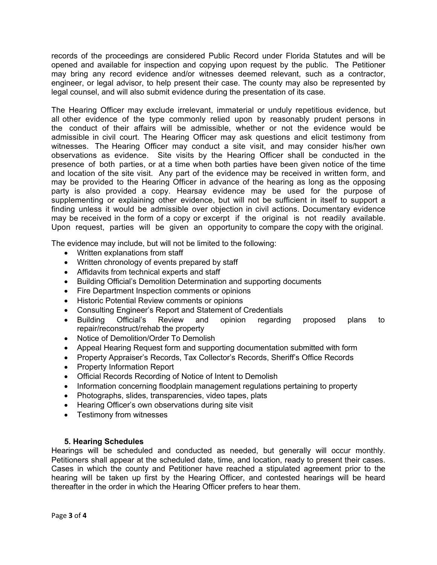records of the proceedings are considered Public Record under Florida Statutes and will be opened and available for inspection and copying upon request by the public. The Petitioner may bring any record evidence and/or witnesses deemed relevant, such as a contractor, engineer, or legal advisor, to help present their case. The county may also be represented by legal counsel, and will also submit evidence during the presentation of its case.

The Hearing Officer may exclude irrelevant, immaterial or unduly repetitious evidence, but all other evidence of the type commonly relied upon by reasonably prudent persons in the conduct of their affairs will be admissible, whether or not the evidence would be admissible in civil court. The Hearing Officer may ask questions and elicit testimony from witnesses. The Hearing Officer may conduct a site visit, and may consider his/her own observations as evidence. Site visits by the Hearing Officer shall be conducted in the presence of both parties, or at a time when both parties have been given notice of the time and location of the site visit. Any part of the evidence may be received in written form, and may be provided to the Hearing Officer in advance of the hearing as long as the opposing party is also provided a copy. Hearsay evidence may be used for the purpose of supplementing or explaining other evidence, but will not be sufficient in itself to support a finding unless it would be admissible over objection in civil actions. Documentary evidence may be received in the form of a copy or excerpt if the original is not readily available. Upon request, parties will be given an opportunity to compare the copy with the original.

The evidence may include, but will not be limited to the following:

- Written explanations from staff
- Written chronology of events prepared by staff
- Affidavits from technical experts and staff
- Building Official's Demolition Determination and supporting documents
- Fire Department Inspection comments or opinions
- Historic Potential Review comments or opinions
- Consulting Engineer's Report and Statement of Credentials
- Building Official's Review and opinion regarding proposed plans to repair/reconstruct/rehab the property
- Notice of Demolition/Order To Demolish
- Appeal Hearing Request form and supporting documentation submitted with form
- Property Appraiser's Records, Tax Collector's Records, Sheriff's Office Records
- Property Information Report
- Official Records Recording of Notice of Intent to Demolish
- Information concerning floodplain management regulations pertaining to property
- Photographs, slides, transparencies, video tapes, plats
- Hearing Officer's own observations during site visit
- Testimony from witnesses

## **5. Hearing Schedules**

Hearings will be scheduled and conducted as needed, but generally will occur monthly. Petitioners shall appear at the scheduled date, time, and location, ready to present their cases. Cases in which the county and Petitioner have reached a stipulated agreement prior to the hearing will be taken up first by the Hearing Officer, and contested hearings will be heard thereafter in the order in which the Hearing Officer prefers to hear them.